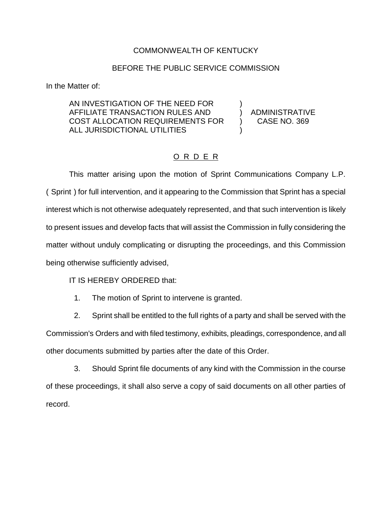## COMMONWEALTH OF KENTUCKY

## BEFORE THE PUBLIC SERVICE COMMISSION

In the Matter of:

AN INVESTIGATION OF THE NEED FOR ) AFFILIATE TRANSACTION RULES AND ) ADMINISTRATIVE COST ALLOCATION REQUIREMENTS FOR ) CASE NO. 369 ALL JURISDICTIONAL UTILITIES

## O R D E R

This matter arising upon the motion of Sprint Communications Company L.P. ( Sprint ) for full intervention, and it appearing to the Commission that Sprint has a special interest which is not otherwise adequately represented, and that such intervention is likely to present issues and develop facts that will assist the Commission in fully considering the matter without unduly complicating or disrupting the proceedings, and this Commission being otherwise sufficiently advised,

IT IS HEREBY ORDERED that:

1. The motion of Sprint to intervene is granted.

2. Sprint shall be entitled to the full rights of a party and shall be served with the Commission's Orders and with filed testimony, exhibits, pleadings, correspondence, and all other documents submitted by parties after the date of this Order.

3. Should Sprint file documents of any kind with the Commission in the course of these proceedings, it shall also serve a copy of said documents on all other parties of record.